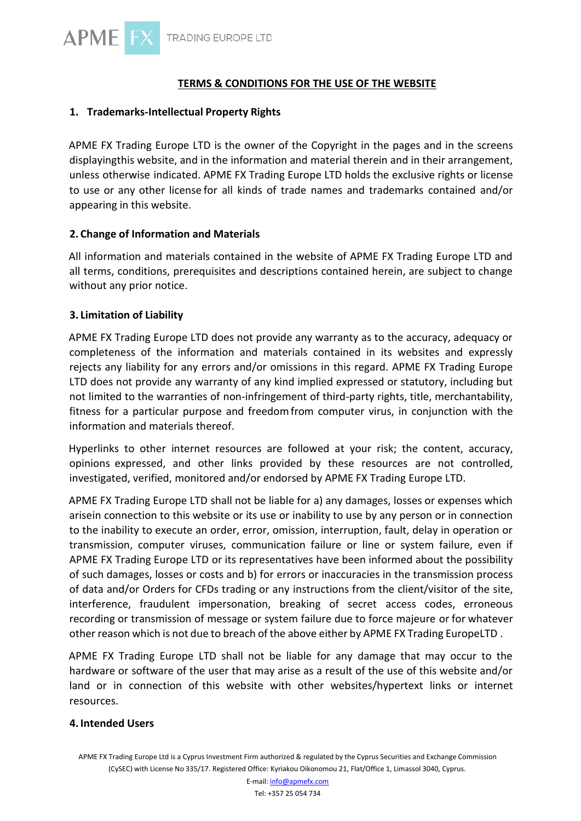# **TERMS & CONDITIONS FOR THE USE OF THE WEBSITE**

## **1. Trademarks-Intellectual Property Rights**

APME FX Trading Europe LTD is the owner of the Copyright in the pages and in the screens displayingthis website, and in the information and material therein and in their arrangement, unless otherwise indicated. APME FX Trading Europe LTD holds the exclusive rights or license to use or any other license for all kinds of trade names and trademarks contained and/or appearing in this website.

## **2. Change of Information and Materials**

All information and materials contained in the website of APME FX Trading Europe LTD and all terms, conditions, prerequisites and descriptions contained herein, are subject to change without any prior notice.

## **3. Limitation of Liability**

APME FX Trading Europe LTD does not provide any warranty as to the accuracy, adequacy or completeness of the information and materials contained in its websites and expressly rejects any liability for any errors and/or omissions in this regard. APME FX Trading Europe LTD does not provide any warranty of any kind implied expressed or statutory, including but not limited to the warranties of non-infringement of third-party rights, title, merchantability, fitness for a particular purpose and freedom from computer virus, in conjunction with the information and materials thereof.

Hyperlinks to other internet resources are followed at your risk; the content, accuracy, opinions expressed, and other links provided by these resources are not controlled, investigated, verified, monitored and/or endorsed by APME FX Trading Europe LTD.

APME FX Trading Europe LTD shall not be liable for a) any damages, losses or expenses which arisein connection to this website or its use or inability to use by any person or in connection to the inability to execute an order, error, omission, interruption, fault, delay in operation or transmission, computer viruses, communication failure or line or system failure, even if APME FX Trading Europe LTD or its representatives have been informed about the possibility of such damages, losses or costs and b) for errors or inaccuracies in the transmission process of data and/or Orders for CFDs trading or any instructions from the client/visitor of the site, interference, fraudulent impersonation, breaking of secret access codes, erroneous recording or transmission of message or system failure due to force majeure or for whatever other reason which is not due to breach of the above either by APME FX Trading EuropeLTD .

APME FX Trading Europe LTD shall not be liable for any damage that may occur to the hardware or software of the user that may arise as a result of the use of this website and/or land or in connection of this website with other websites/hypertext links or internet resources.

### **4. Intended Users**

APME FX Trading Europe Ltd is a Cyprus Investment Firm authorized & regulated by the Cyprus Securities and Exchange Commission (CySEC) with License No 335/17. Registered Office: Kyriakou Oikonomou 21, Flat/Office 1, Limassol 3040, Cyprus.